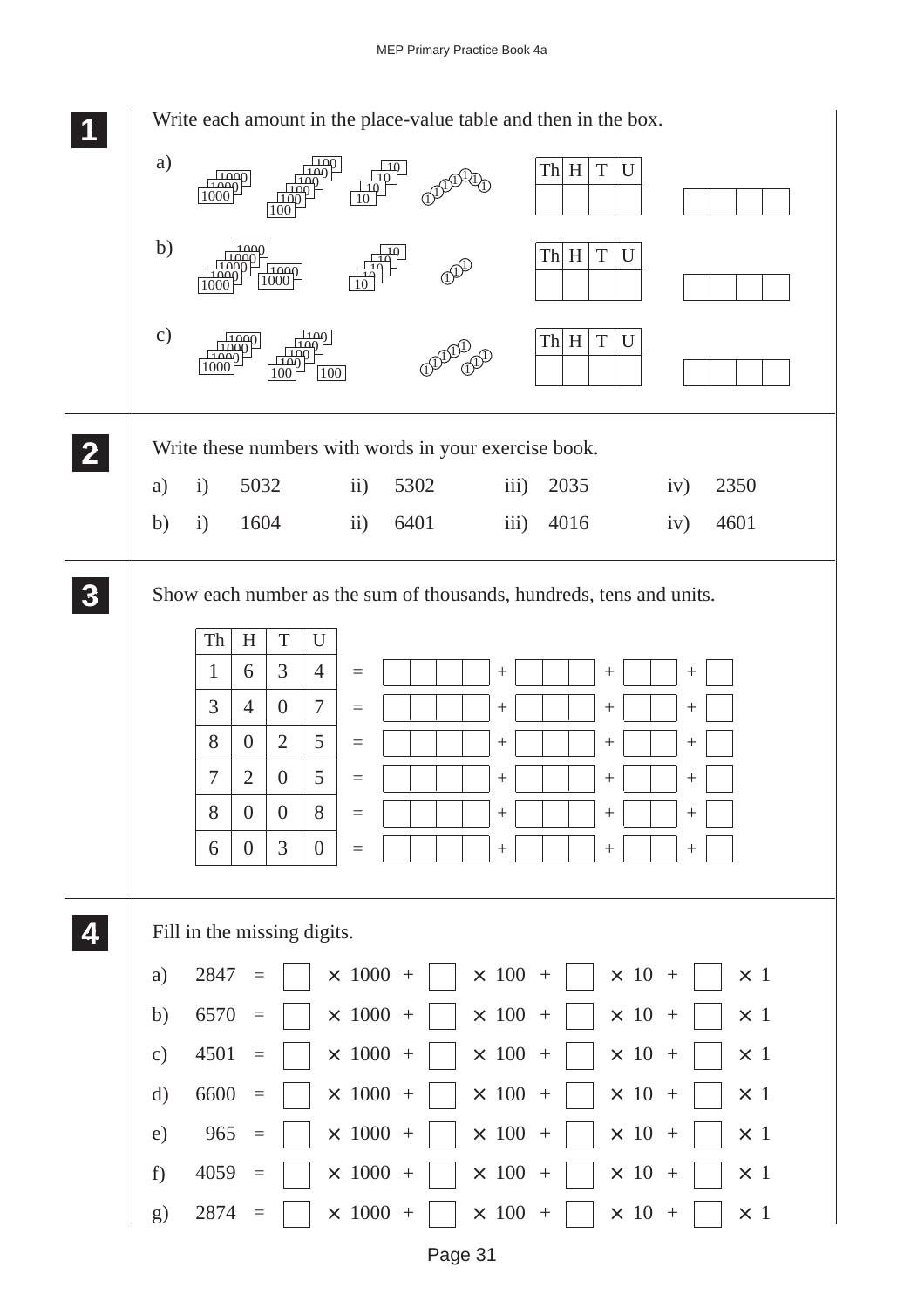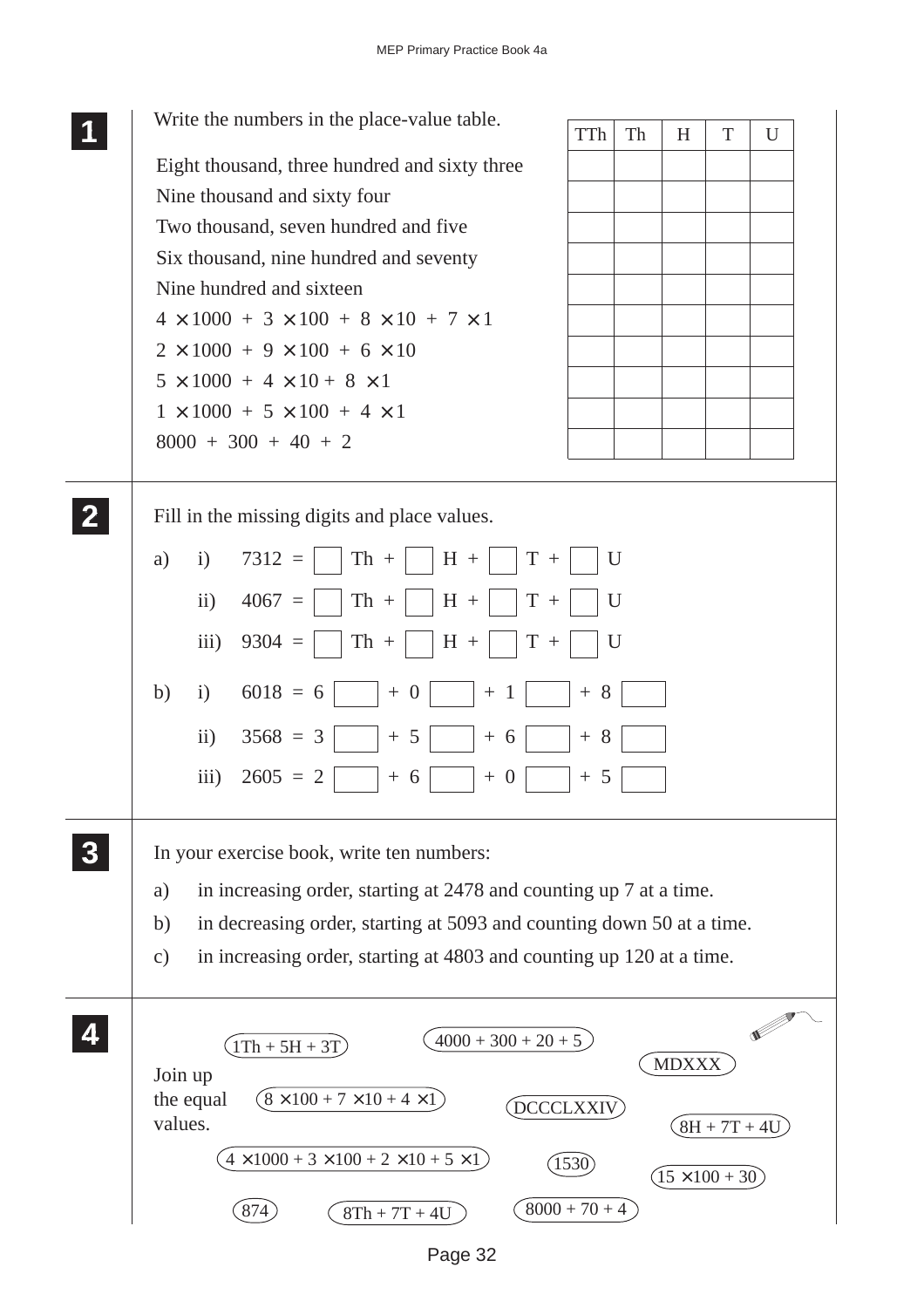|          | Write the numbers in the place-value table.<br><b>TTh</b><br>Th                       | H                      | T              | U |
|----------|---------------------------------------------------------------------------------------|------------------------|----------------|---|
|          | Eight thousand, three hundred and sixty three                                         |                        |                |   |
|          | Nine thousand and sixty four                                                          |                        |                |   |
|          | Two thousand, seven hundred and five                                                  |                        |                |   |
|          | Six thousand, nine hundred and seventy                                                |                        |                |   |
|          | Nine hundred and sixteen                                                              |                        |                |   |
|          | $4 \times 1000 + 3 \times 100 + 8 \times 10 + 7 \times 1$                             |                        |                |   |
|          | $2 \times 1000 + 9 \times 100 + 6 \times 10$                                          |                        |                |   |
|          | $5 \times 1000 + 4 \times 10 + 8 \times 1$                                            |                        |                |   |
|          | $1 \times 1000 + 5 \times 100 + 4 \times 1$                                           |                        |                |   |
|          | $8000 + 300 + 40 + 2$                                                                 |                        |                |   |
|          |                                                                                       |                        |                |   |
|          | Fill in the missing digits and place values.                                          |                        |                |   |
|          | $7312 =$<br>$Th +$<br>$H +$<br>$T +$<br>U<br>a)<br>$\mathbf{i}$                       |                        |                |   |
|          |                                                                                       |                        |                |   |
|          | $\mathbf{ii}$<br>$4067 =$<br>$Th +$<br>$H +$<br>$T +$<br>U                            |                        |                |   |
|          | iii)<br>$9304 =$<br>$Th +$<br>$H +$<br>$T +$<br>U                                     |                        |                |   |
|          | $6018 = 6$<br>b)<br>i)<br>$+8$<br>$+ 0$<br>$+1$                                       |                        |                |   |
|          | $\rm ii)$<br>$3568 = 3$<br>$+8$<br>5<br>$+6$                                          |                        |                |   |
|          | iii)<br>$2605 = 2$<br>$+5$<br>$+6$<br>$+0$                                            |                        |                |   |
| $\bf{3}$ | In your exercise book, write ten numbers:                                             |                        |                |   |
|          |                                                                                       |                        |                |   |
|          | in increasing order, starting at 2478 and counting up 7 at a time.<br>a)              |                        |                |   |
|          | in decreasing order, starting at 5093 and counting down 50 at a time.<br>b)           |                        |                |   |
|          | in increasing order, starting at 4803 and counting up 120 at a time.<br>$\mathbf{c})$ |                        |                |   |
| 4        | $4000 + 300 + 20 + 5$                                                                 |                        |                |   |
|          | $1Th + 5H + 3T$                                                                       | <b>MDXXX</b>           |                |   |
|          | Join up<br>$(8 \times 100 + 7 \times 10 + 4 \times 1)$<br>the equal                   |                        |                |   |
|          | DCCCLXXIV<br>values.                                                                  |                        | $8H + 7T + 4U$ |   |
|          | $(4 \times 1000 + 3 \times 100 + 2 \times 10 + 5 \times 1)$<br>1530                   | $(15 \times 100 + 30)$ |                |   |
|          | $8000 + 70 + 4$<br>874<br>$8Th + 7T + 4U$                                             |                        |                |   |

Page 32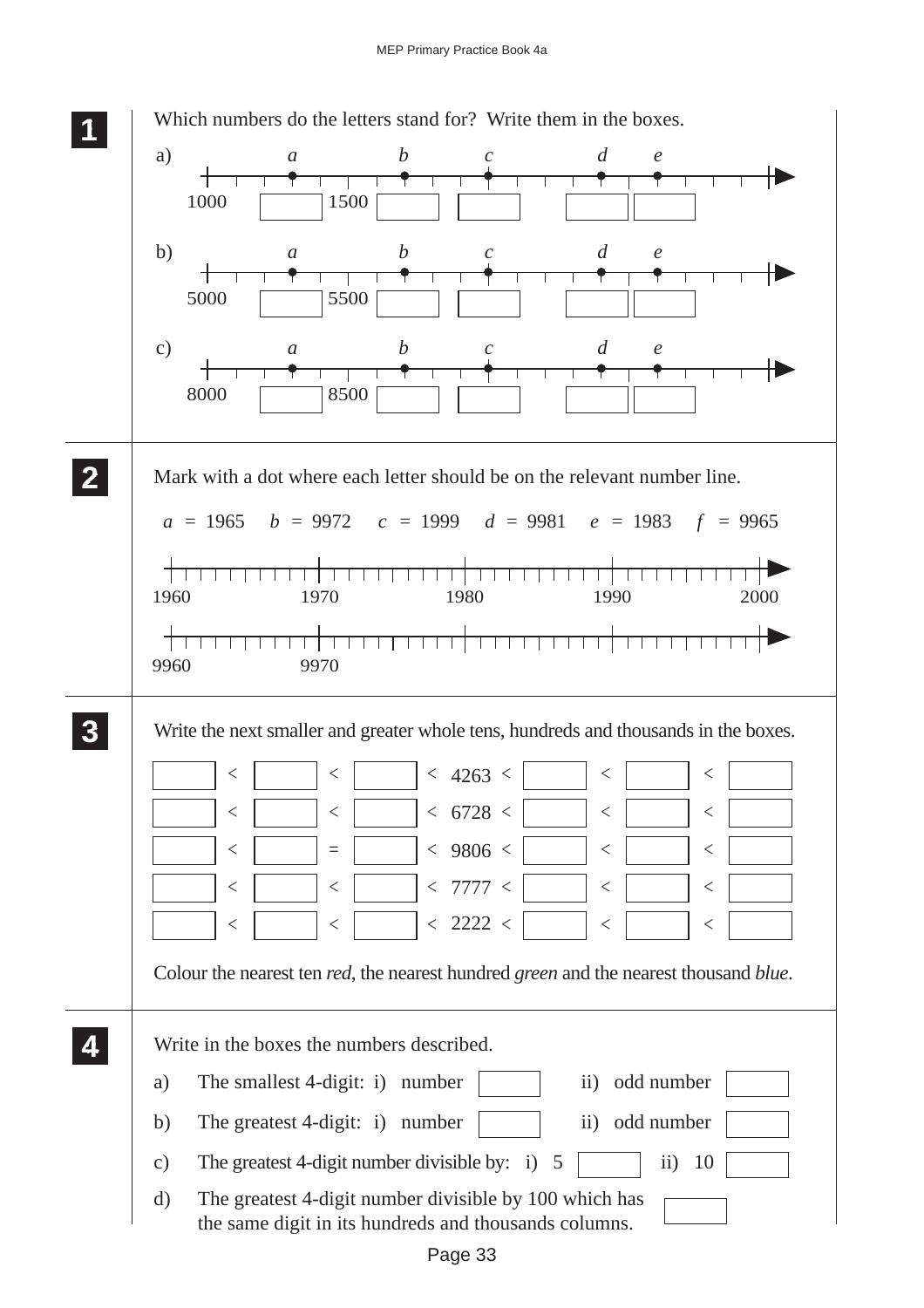|               | Which numbers do the letters stand for? Write them in the boxes.                                            |          |                  |                             |                                               |                   |      |
|---------------|-------------------------------------------------------------------------------------------------------------|----------|------------------|-----------------------------|-----------------------------------------------|-------------------|------|
| a)            | $\mathfrak{a}$                                                                                              |          | $\boldsymbol{b}$ | $\mathcal{C}$               | $\overline{d}$                                | $\mathcal{C}_{0}$ |      |
| 1000          |                                                                                                             | 1500     |                  |                             |                                               |                   |      |
| b)            | $\mathfrak{a}$                                                                                              |          | $\boldsymbol{b}$ | $\mathcal{C}_{0}^{0}$       | d                                             | $\mathfrak{e}$    |      |
| 5000          |                                                                                                             | 5500     |                  |                             |                                               |                   |      |
| $\mathbf{c})$ | $\mathfrak{a}$                                                                                              |          | b                | $\mathcal{C}_{\mathcal{C}}$ | d                                             | $\mathfrak{e}$    |      |
| 8000          |                                                                                                             | 8500     |                  |                             |                                               |                   |      |
|               |                                                                                                             |          |                  |                             |                                               |                   |      |
|               | Mark with a dot where each letter should be on the relevant number line.                                    |          |                  |                             |                                               |                   |      |
|               |                                                                                                             |          |                  |                             |                                               |                   |      |
|               | $a = 1965$ $b = 9972$ $c = 1999$ $d = 9981$ $e = 1983$ $f = 9965$                                           |          |                  |                             |                                               |                   |      |
| 1960          |                                                                                                             | 1970     |                  | 1980                        | <del>,,,,,,,,,,,,,,,,,,,,,,,,</del> ,<br>1990 |                   | 2000 |
|               |                                                                                                             |          |                  |                             |                                               |                   |      |
|               |                                                                                                             |          |                  |                             |                                               |                   |      |
|               |                                                                                                             |          |                  |                             |                                               |                   |      |
| 9960          |                                                                                                             | 9970     |                  |                             |                                               |                   |      |
|               | Write the next smaller and greater whole tens, hundreds and thousands in the boxes.                         |          |                  |                             |                                               |                   |      |
|               | $\lt$                                                                                                       | $\lt$    |                  |                             | $\lt$                                         | $\lt$             |      |
|               | $\,<$                                                                                                       | $\,<$    |                  | < 4263 <<br>< 6728 <        | $\,<$                                         | $\,<$             |      |
|               | $<\,$                                                                                                       | $\equiv$ |                  | $<$ 9806 $<$                | $\,<\,$                                       | $<\,$             |      |
|               | $<\,$                                                                                                       | $<\,$    |                  | < 7777 <                    | $<\,$                                         | $<\,$             |      |
|               | $\,<\,$                                                                                                     | <        |                  | < 2222 <                    | $\,<\,$                                       | $\,<\,$           |      |
|               | Colour the nearest ten <i>red</i> , the nearest hundred <i>green</i> and the nearest thousand <i>blue</i> . |          |                  |                             |                                               |                   |      |
|               |                                                                                                             |          |                  |                             |                                               |                   |      |
|               | Write in the boxes the numbers described.                                                                   |          |                  |                             |                                               |                   |      |
| a)            | The smallest 4-digit: i) number                                                                             |          |                  |                             | $\rm ii)$                                     | odd number        |      |
| b)            | The greatest 4-digit: i) number                                                                             |          |                  |                             | $\rm ii)$                                     | odd number        |      |
| $\mathbf{c})$ | The greatest 4-digit number divisible by: $i)$ 5                                                            |          |                  |                             |                                               | $\ddot{i}$<br>10  |      |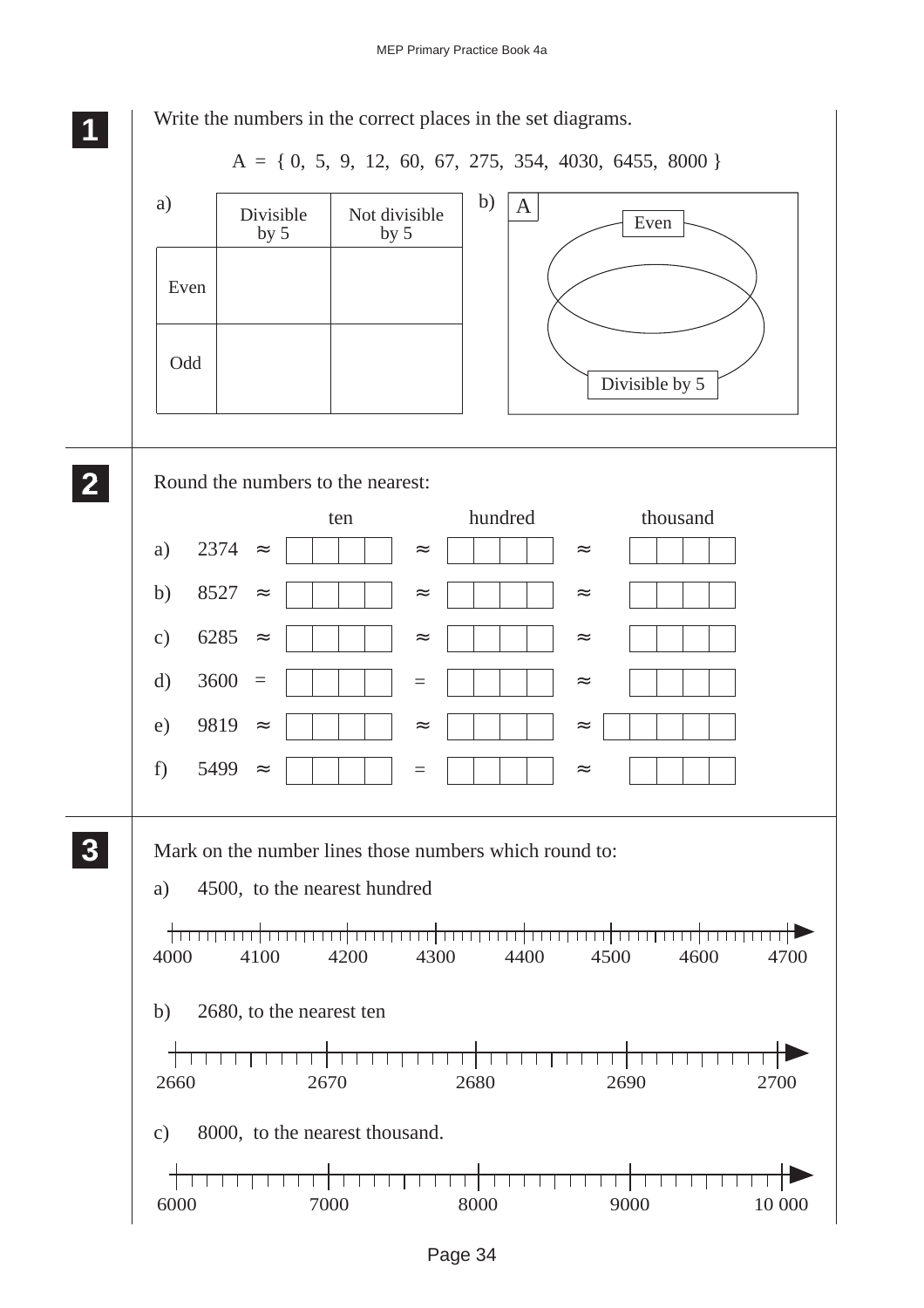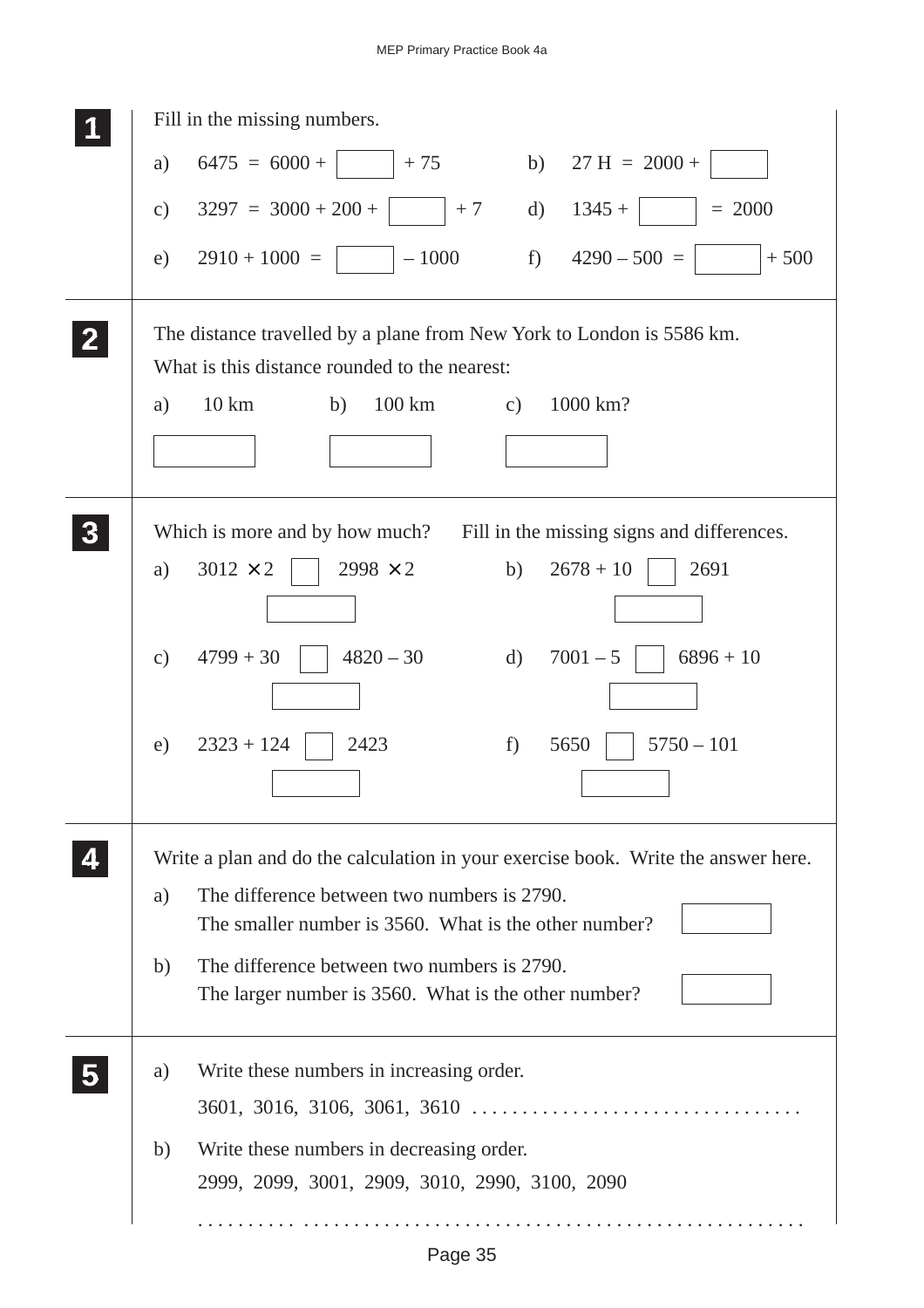| Fill in the missing numbers.                                                                                           |
|------------------------------------------------------------------------------------------------------------------------|
| $6475 = 6000 +$<br>$+75$ b) $27 \text{ H} = 2000 +$<br>a)                                                              |
| $3297 = 3000 + 200 +$<br>$+7$<br>$1345 +$<br>$= 2000$<br>$\mathbf{d}$<br>$\mathbf{c})$                                 |
| $4290 - 500 =$<br>$2910 + 1000 =$<br>$f$ )<br>$-1000$<br>$+500$<br>e)                                                  |
| The distance travelled by a plane from New York to London is 5586 km.<br>What is this distance rounded to the nearest: |
| $10 \mathrm{km}$<br>100 km<br>1000 km?<br>a)<br>b)<br>c)                                                               |
|                                                                                                                        |
| Which is more and by how much?<br>Fill in the missing signs and differences.                                           |
| $2998 \times 2$<br>$3012 \times 2$<br>$2678 + 10$<br>2691<br>b)<br>a)                                                  |
| $4820 - 30$<br>$7001 - 5$<br>$6896 + 10$<br>$4799 + 30$<br>$\rm d)$<br>$\mathbf{c})$                                   |
| $2323 + 124$<br>2423<br>$5750 - 101$<br>5650<br>e)<br>f)                                                               |
| Write a plan and do the calculation in your exercise book. Write the answer here.                                      |
| The difference between two numbers is 2790.<br>a)                                                                      |
| The smaller number is 3560. What is the other number?                                                                  |
| The difference between two numbers is 2790.<br>b)<br>The larger number is 3560. What is the other number?              |
| Write these numbers in increasing order.<br>a)                                                                         |
| $3601, 3016, 3106, 3061, 3610 \ldots \ldots \ldots \ldots \ldots \ldots \ldots \ldots \ldots \ldots$                   |
| Write these numbers in decreasing order.<br>b)                                                                         |
| 2999, 2099, 3001, 2909, 3010, 2990, 3100, 2090                                                                         |
|                                                                                                                        |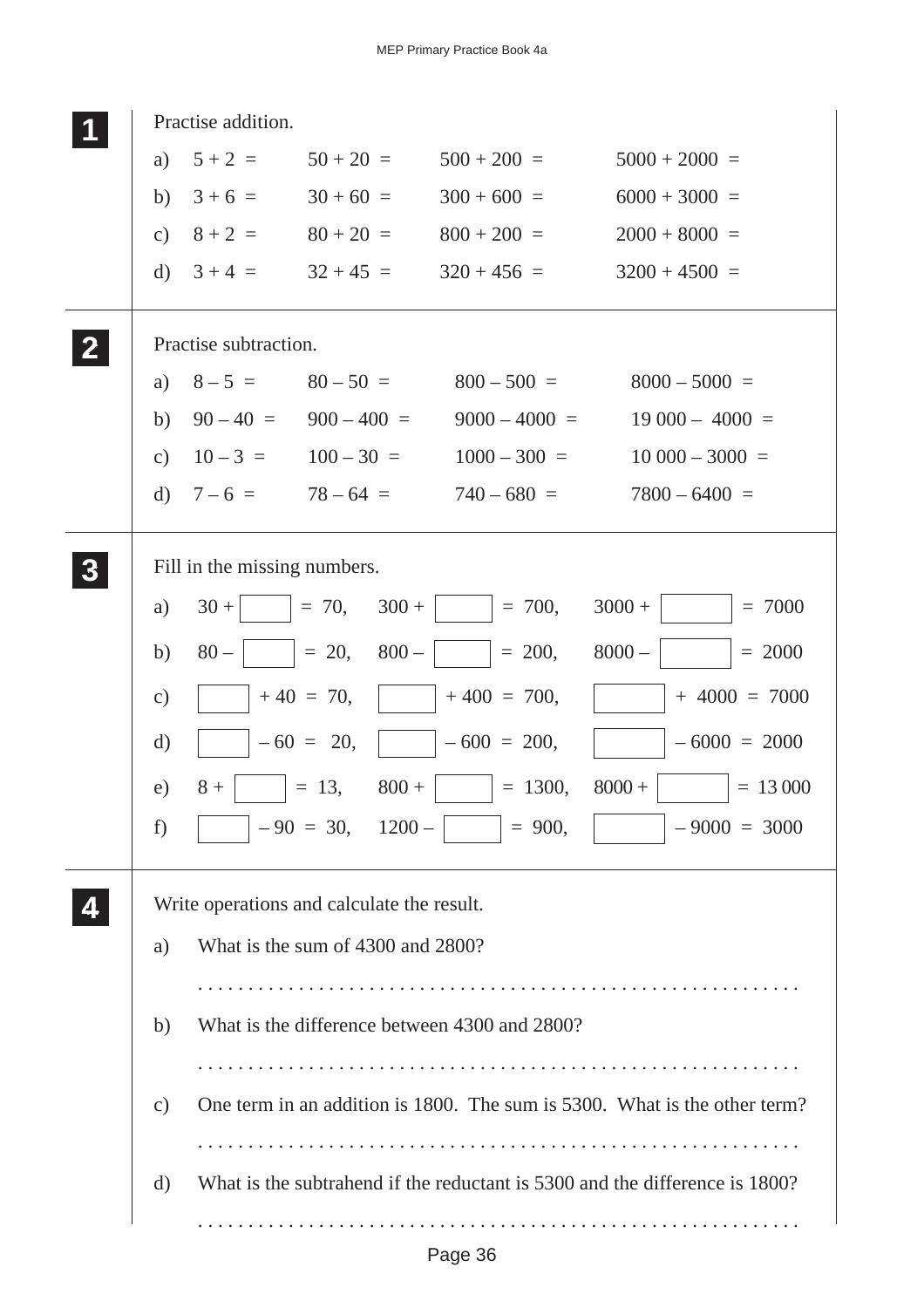|              |               | Practise addition.           |                                            |                                               |                                                                             |
|--------------|---------------|------------------------------|--------------------------------------------|-----------------------------------------------|-----------------------------------------------------------------------------|
|              | a)            | $5 + 2 =$                    | $50 + 20 =$                                | $500 + 200 =$                                 | $5000 + 2000 =$                                                             |
|              | b)            | $3 + 6 =$                    | $30 + 60 =$                                | $300 + 600 =$                                 | $6000 + 3000 =$                                                             |
|              | c)            | $8 + 2 =$                    | $80 + 20 =$                                | $800 + 200 =$                                 | $2000 + 8000 =$                                                             |
|              | $\rm d$       | $3 + 4 =$                    | $32 + 45 =$                                | $320 + 456 =$                                 | $3200 + 4500 =$                                                             |
| $\mathbf{2}$ |               | Practise subtraction.        |                                            |                                               |                                                                             |
|              | a)            | $8 - 5 =$                    | $80 - 50 =$                                | $800 - 500 =$                                 | $8000 - 5000 =$                                                             |
|              | b)            |                              | $90-40 = 900-400 =$                        | $9000 - 4000 =$                               | $19000 - 4000 =$                                                            |
|              | c)            |                              | $10-3 = 100-30 =$                          | $1000 - 300 =$                                | $10000 - 3000 =$                                                            |
|              | $\rm d)$      | $7 - 6 =$                    | $78 - 64 =$                                | $740 - 680 =$                                 | $7800 - 6400 =$                                                             |
|              |               | Fill in the missing numbers. |                                            |                                               |                                                                             |
|              | a)            | $30 +$                       | $= 70,$<br>$300 +$                         | $= 700,$                                      | $3000 +$<br>$= 7000$                                                        |
|              | b)            | $80 -$                       | $= 20,$<br>$800 -$                         | $= 200,$                                      | $= 2000$<br>$8000 -$                                                        |
|              | $\mathbf{c})$ |                              | $+40 = 70,$                                | $+400 = 700,$                                 | $+4000 = 7000$                                                              |
|              | $\mathbf{d}$  |                              | $-60 = 20,$                                | $-600 = 200$ ,                                | $-6000 = 2000$                                                              |
|              | e)            | $8+$                         | $800 +$<br>$= 13,$                         | $= 1300,$                                     | $8000 +$<br>$= 13000$                                                       |
|              | f)            |                              | $-90 = 30, 1200 -$                         | $= 900,$                                      | $-9000 = 3000$                                                              |
|              |               |                              | Write operations and calculate the result. |                                               |                                                                             |
|              | a)            |                              | What is the sum of 4300 and 2800?          |                                               |                                                                             |
|              |               |                              |                                            |                                               |                                                                             |
|              | b)            |                              |                                            | What is the difference between 4300 and 2800? |                                                                             |
|              |               |                              |                                            |                                               |                                                                             |
|              |               |                              |                                            |                                               | One term in an addition is 1800. The sum is 5300. What is the other term?   |
|              | $\mathbf{c})$ |                              |                                            |                                               |                                                                             |
|              |               |                              |                                            |                                               |                                                                             |
|              | d)            |                              |                                            |                                               | What is the subtrahend if the reductant is 5300 and the difference is 1800? |
|              |               |                              |                                            |                                               |                                                                             |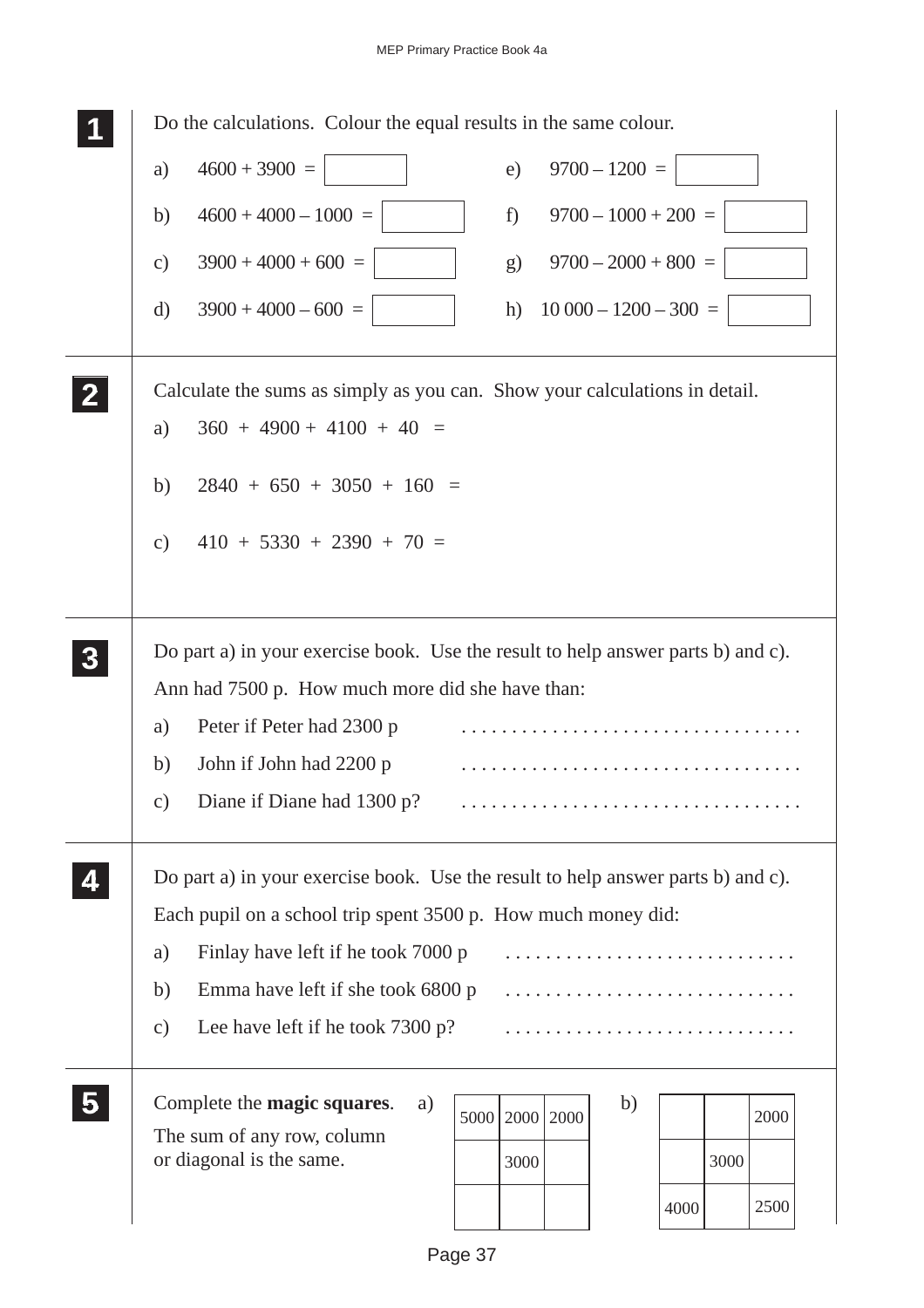## MEP Primary Practice Book 4a

|              | Do the calculations. Colour the equal results in the same colour.                |
|--------------|----------------------------------------------------------------------------------|
|              | $4600 + 3900 =$<br>$9700 - 1200 =$<br>e)<br>a)                                   |
|              | $4600 + 4000 - 1000 =$<br>$9700 - 1000 + 200 =$<br>f)<br>b)                      |
|              | $3900 + 4000 + 600 =$<br>$9700 - 2000 + 800 =$<br>$\mathbf{c})$<br>g)            |
|              | $3900 + 4000 - 600 =$<br>$10\,000 - 1200 - 300 =$<br>$\mathbf{d}$<br>h)          |
| $\mathbf{2}$ | Calculate the sums as simply as you can. Show your calculations in detail.       |
|              | $360 + 4900 + 4100 + 40 =$<br>a)                                                 |
|              | $2840 + 650 + 3050 + 160 =$<br>b)                                                |
|              | $410 + 5330 + 2390 + 70 =$<br>$\mathbf{c})$                                      |
|              |                                                                                  |
|              | Do part a) in your exercise book. Use the result to help answer parts b) and c). |
|              | Ann had 7500 p. How much more did she have than:                                 |
|              | Peter if Peter had 2300 p<br>a)                                                  |
|              | John if John had 2200 p<br>b)                                                    |
|              | Diane if Diane had 1300 p?<br>$\mathbf{c})$                                      |
|              | Do part a) in your exercise book. Use the result to help answer parts b) and c). |
|              | Each pupil on a school trip spent 3500 p. How much money did:                    |
|              | Finlay have left if he took 7000 p<br>a)                                         |
|              | Emma have left if she took 6800 p<br>b)                                          |
|              | Lee have left if he took $7300 p$ ?<br>$\mathbf{c})$                             |
|              | Complete the magic squares.<br>b)<br>a)<br>2000<br>2000<br>2000<br>5000          |
|              | The sum of any row, column                                                       |
|              | or diagonal is the same.<br>3000<br>3000                                         |
|              |                                                                                  |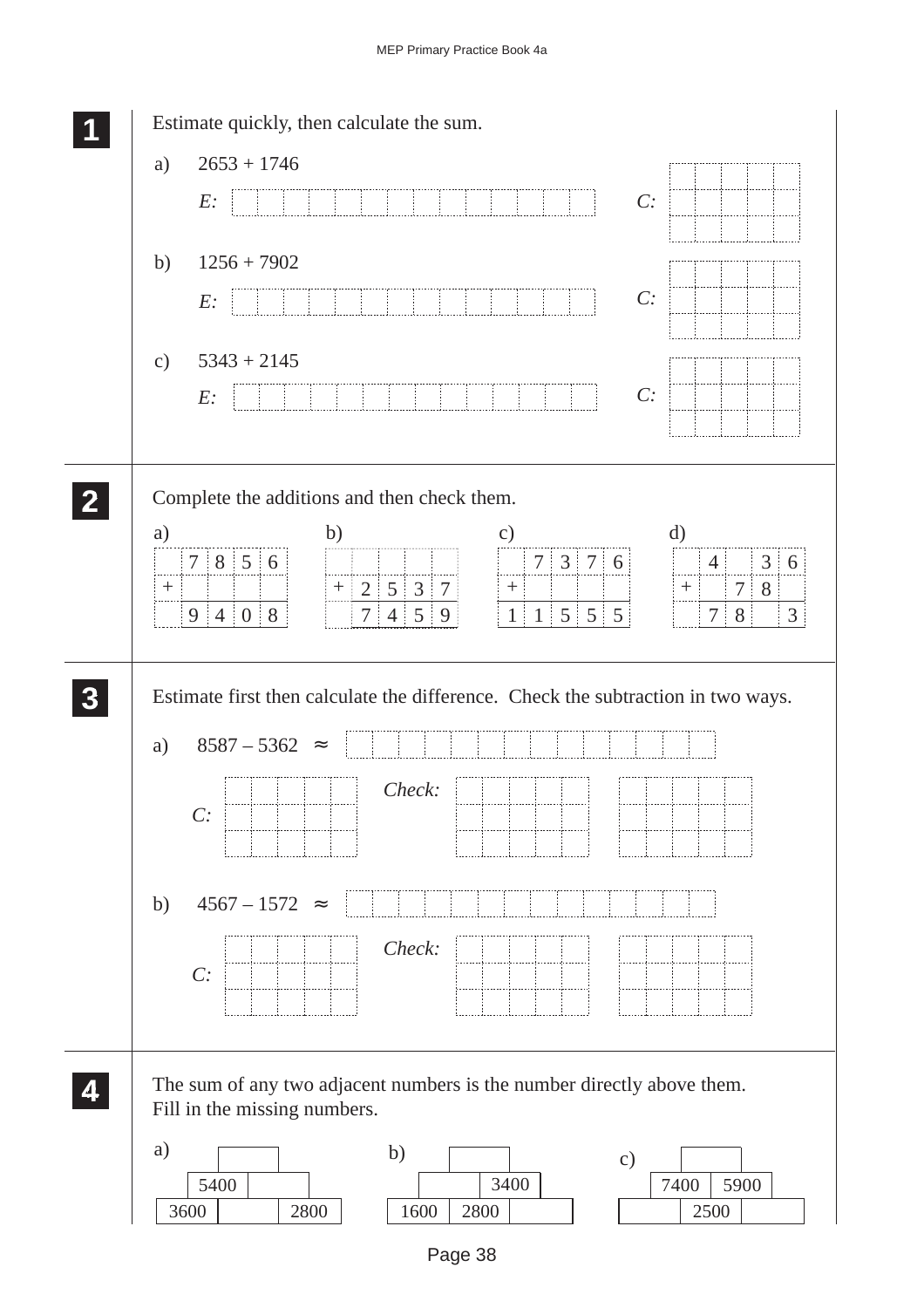|              | Estimate quickly, then calculate the sum.                                                                                                                                                                                                                                                                                     |
|--------------|-------------------------------------------------------------------------------------------------------------------------------------------------------------------------------------------------------------------------------------------------------------------------------------------------------------------------------|
|              | $2653 + 1746$<br>a)                                                                                                                                                                                                                                                                                                           |
|              | C:<br>E:                                                                                                                                                                                                                                                                                                                      |
|              | $1256 + 7902$<br>b)                                                                                                                                                                                                                                                                                                           |
|              | C:<br>E:                                                                                                                                                                                                                                                                                                                      |
|              | $5343 + 2145$<br>$\mathbf{c})$<br>C:                                                                                                                                                                                                                                                                                          |
|              | E:                                                                                                                                                                                                                                                                                                                            |
| $\mathbf{2}$ | Complete the additions and then check them.                                                                                                                                                                                                                                                                                   |
|              | a)<br>b)<br>$\mathbf{c})$<br>d)<br>7   8   5   6<br>$7 \mid 3 \mid 7 \mid 6$<br>3 6<br>$4\frac{1}{2}$<br>.<br>$+ 2 5 3 7$<br>$7 \, \, 8$<br>$\boldsymbol{+}$<br>$+$<br>$^{+}$<br>$7 \mid 4 \mid 5 \mid$<br>$1 \mid 5 \mid 5 \mid 5$<br>$9 \mid 4 \mid 0 \mid 8$<br>8<br>$\mathfrak{Z}$<br>9 <sup>1</sup><br>$\mathbf{1}$<br>7 |
|              | Estimate first then calculate the difference. Check the subtraction in two ways.<br>$8587 - 5362 \approx$                                                                                                                                                                                                                     |
|              | a)<br>Check:<br>C:                                                                                                                                                                                                                                                                                                            |
|              | $4567 - 1572 =$<br>b)                                                                                                                                                                                                                                                                                                         |
|              | Check:<br>C:                                                                                                                                                                                                                                                                                                                  |
|              | The sum of any two adjacent numbers is the number directly above them.<br>Fill in the missing numbers.                                                                                                                                                                                                                        |
|              | a)<br>b)<br>$\circ$ )<br>3400<br>5400<br>7400<br>5900<br>3600<br>2800<br>1600<br>2800<br>2500                                                                                                                                                                                                                                 |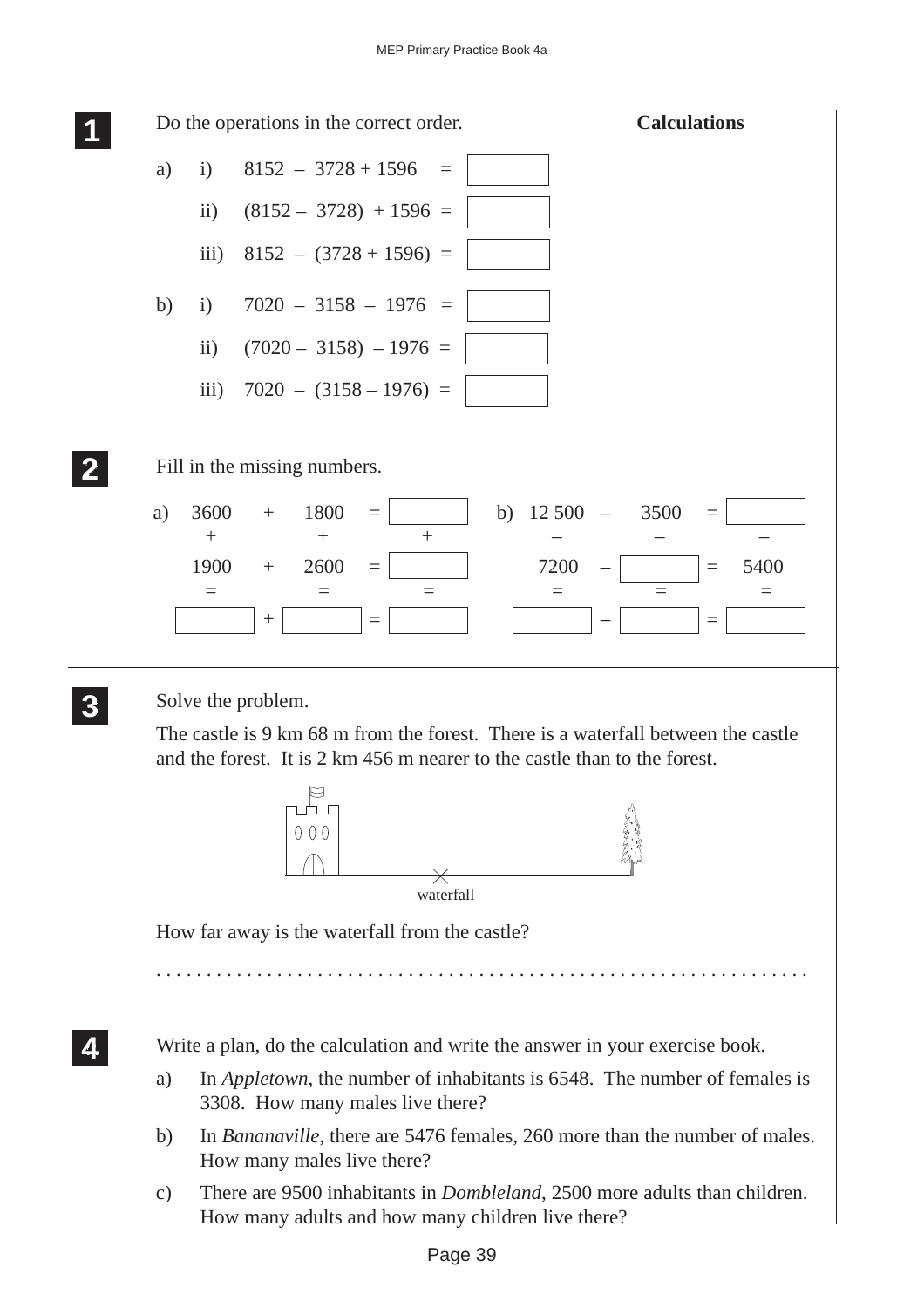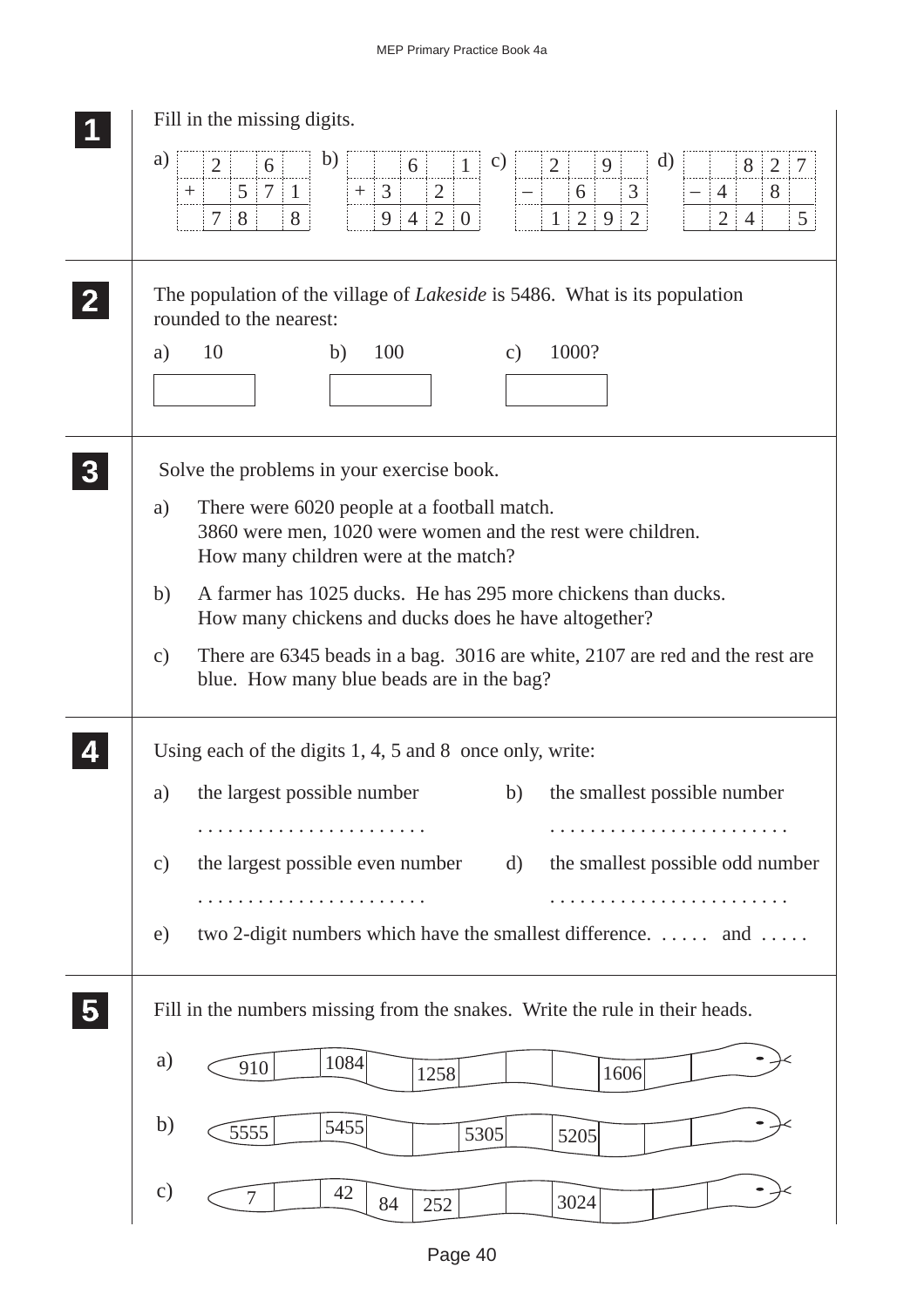|                | Fill in the missing digits.                                                                                                                                                                                                                                                                                                                                                                                                                                                       |
|----------------|-----------------------------------------------------------------------------------------------------------------------------------------------------------------------------------------------------------------------------------------------------------------------------------------------------------------------------------------------------------------------------------------------------------------------------------------------------------------------------------|
|                | a)<br>b)<br>d)<br>$\mathbf{c})$<br>$\overline{2}$<br>1 <sup>1</sup><br>2<br>9<br>6<br>$8 \mid 2$<br>6<br>$\frac{1}{2}$<br>$7 \mid 1$<br>5 <sup>1</sup><br>$+$ 3<br>$\overline{2}$<br>$\mathfrak{Z}$<br>6<br>4:<br>8<br>$^{+}$<br>2 9 <br>5 <sup>5</sup><br>8<br>8<br>9 4 2 0<br>7 <sup>1</sup><br>1 <sup>1</sup><br>$\overline{2}$<br>2 4                                                                                                                                         |
|                | The population of the village of <i>Lakeside</i> is 5486. What is its population<br>rounded to the nearest:<br>1000?<br>10<br>100<br>b)<br>a)<br>$\mathbf{c})$                                                                                                                                                                                                                                                                                                                    |
| 3 <sup>1</sup> | Solve the problems in your exercise book.<br>There were 6020 people at a football match.<br>a)<br>3860 were men, 1020 were women and the rest were children.<br>How many children were at the match?<br>A farmer has 1025 ducks. He has 295 more chickens than ducks.<br>b)<br>How many chickens and ducks does he have altogether?<br>There are 6345 beads in a bag. 3016 are white, 2107 are red and the rest are<br>$\mathbf{c})$<br>blue. How many blue beads are in the bag? |
|                | Using each of the digits $1, 4, 5$ and 8 once only, write:                                                                                                                                                                                                                                                                                                                                                                                                                        |
|                | a) the largest possible number<br>b) the smallest possible number                                                                                                                                                                                                                                                                                                                                                                                                                 |
|                | .                                                                                                                                                                                                                                                                                                                                                                                                                                                                                 |
|                | the largest possible even number<br>the smallest possible odd number<br>$\mathbf{d}$<br>$\mathbf{c})$                                                                                                                                                                                                                                                                                                                                                                             |
|                | .                                                                                                                                                                                                                                                                                                                                                                                                                                                                                 |
|                | two 2-digit numbers which have the smallest difference.  and<br>e)                                                                                                                                                                                                                                                                                                                                                                                                                |
|                | Fill in the numbers missing from the snakes. Write the rule in their heads.                                                                                                                                                                                                                                                                                                                                                                                                       |
|                | a)<br>1084<br>910<br>1258<br>1606                                                                                                                                                                                                                                                                                                                                                                                                                                                 |
|                | b)<br>5455<br>5555<br>5305<br>5205                                                                                                                                                                                                                                                                                                                                                                                                                                                |
|                | $\circ$ )<br>42<br>7<br>3024<br>84<br>252                                                                                                                                                                                                                                                                                                                                                                                                                                         |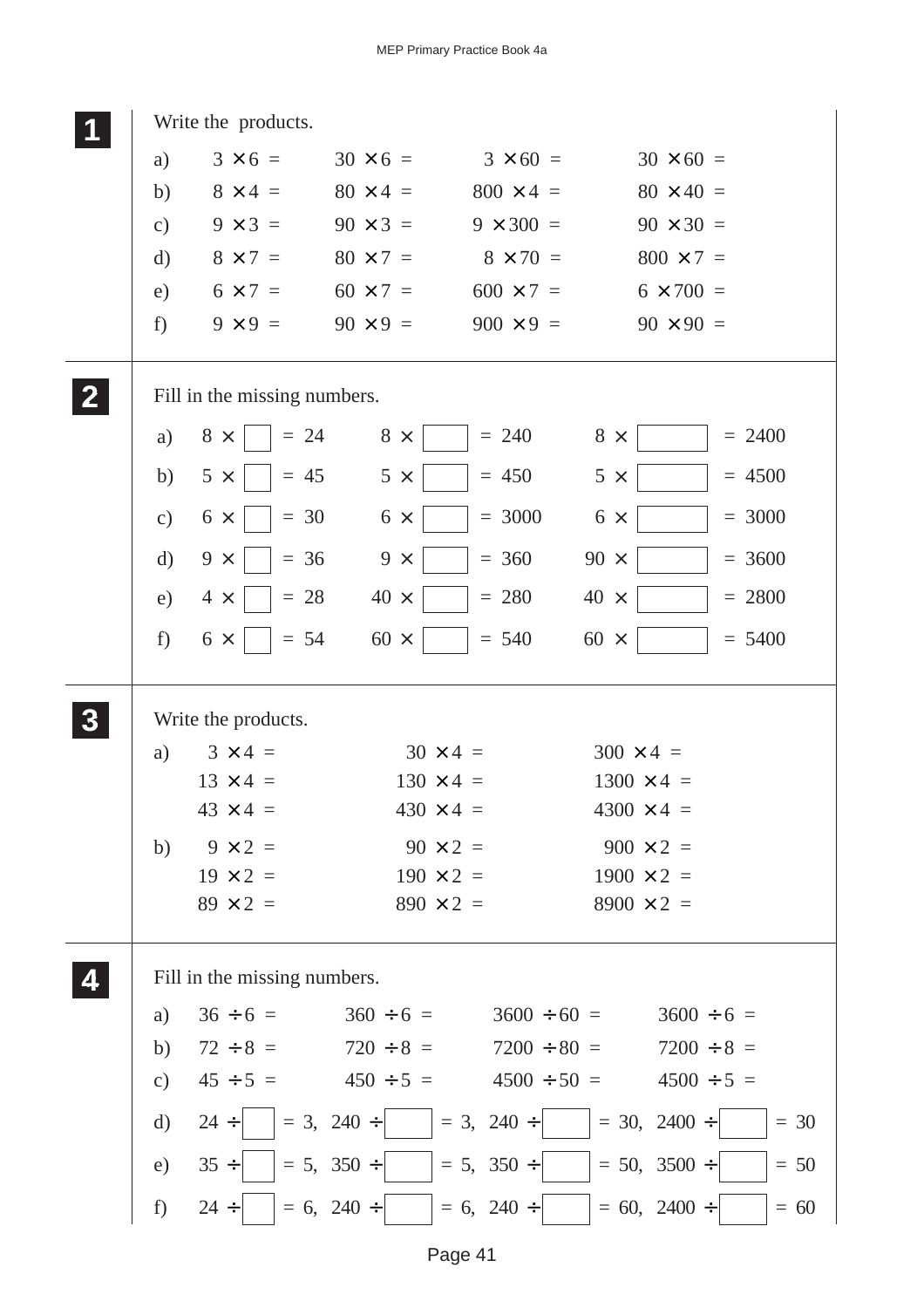|                  |               | Write the products.                                           |                  |                  |                   |                 |
|------------------|---------------|---------------------------------------------------------------|------------------|------------------|-------------------|-----------------|
|                  | a)            | $3 \times 6 =$                                                | $30 \times 6 =$  | $3 \times 60 =$  | $30 \times 60 =$  |                 |
|                  | b)            | $8 \times 4 =$                                                | $80 \times 4 =$  | $800 \times 4 =$ | $80 \times 40 =$  |                 |
|                  | c)            | $9 \times 3 =$                                                | $90 \times 3 =$  | $9 \times 300 =$ | $90 \times 30 =$  |                 |
|                  | $\rm d)$      | $8 \times 7 =$                                                | $80 \times 7 =$  | $8 \times 70 =$  | $800 \times 7 =$  |                 |
|                  | e)            | $6 \times 7 =$                                                | $60 \times 7 =$  | $600 \times 7 =$ | $6 \times 700 =$  |                 |
|                  | f)            | $9 \times 9 =$                                                | $90 \times 9 =$  | $900 \times 9 =$ | $90 \times 90 =$  |                 |
| $\overline{2}$   |               | Fill in the missing numbers.                                  |                  |                  |                   |                 |
|                  | a)            | $8 \times$<br>$= 24$                                          | $8 \times$       | $= 240$          | $8 \times$        | $= 2400$        |
|                  | b)            | $5 \times$<br>$= 45$                                          | $5 \times$       | $= 450$          | $5 \times$        | $= 4500$        |
|                  | $\mathbf{c})$ | $= 30$<br>$6 \times$                                          | $6 \times$       | $= 3000$         | $6 \times$        | $= 3000$        |
|                  | $\mathbf{d}$  | $= 36$<br>$9 \times$                                          | $9 \times$       | $= 360$          | $90 \times$       | $= 3600$        |
|                  | e)            | $= 28$<br>$4 \times$                                          | $40 \times$      | $= 280$          | $40 \times$       | $= 2800$        |
|                  | f             | $= 54$<br>$6 \times$                                          | $60 \times$      | $= 540$          | $60 \times$       | $= 5400$        |
| $\boldsymbol{3}$ |               | Write the products.                                           |                  |                  |                   |                 |
|                  | a)            | $3 \times 4 =$                                                | $30 \times 4 =$  |                  | $300 \times 4 =$  |                 |
|                  |               | $13 \times 4 =$                                               | $130 \times 4 =$ |                  | $1300 \times 4 =$ |                 |
|                  |               | $43 \times 4 =$                                               | $430 \times 4 =$ |                  | $4300 \times 4 =$ |                 |
|                  | b)            | $9 \times 2 =$                                                | $90 \times 2 =$  |                  | $900 \times 2 =$  |                 |
|                  |               | $19 \times 2 =$                                               | $190 \times 2 =$ |                  | $1900 \times 2 =$ |                 |
|                  |               | $89 \times 2 =$                                               | $890 \times 2 =$ |                  | $8900 \times 2 =$ |                 |
|                  |               | Fill in the missing numbers.                                  |                  |                  |                   |                 |
|                  | a)            | $36 \div 6 =$                                                 | $360 \div 6 =$   | $3600 \div 60 =$ |                   | $3600 \div 6 =$ |
|                  | b)            | $72 \div 8 =$                                                 | $720 \div 8 =$   | $7200 \div 80 =$ |                   | $7200 \div 8 =$ |
|                  | $\mathbf{c})$ | $45 \div 5 =$ $450 \div 5 =$ $4500 \div 50 =$ $4500 \div 5 =$ |                  |                  |                   |                 |
|                  | $\rm d)$      | $24 \div$                                                     | $= 3, 240 \div$  | $= 3, 240 \div$  | $= 30, 2400 \div$ | $=$ 30          |
|                  | e)            | $35 \div$                                                     | $= 5, 350 \div$  | $= 5, 350 \div$  | $= 50, 3500 \div$ | $= 50$          |
|                  | f)            | $24 \div$                                                     | $= 6, 240 \div$  | $= 6, 240 \div$  | $= 60, 2400 \div$ | $= 60$          |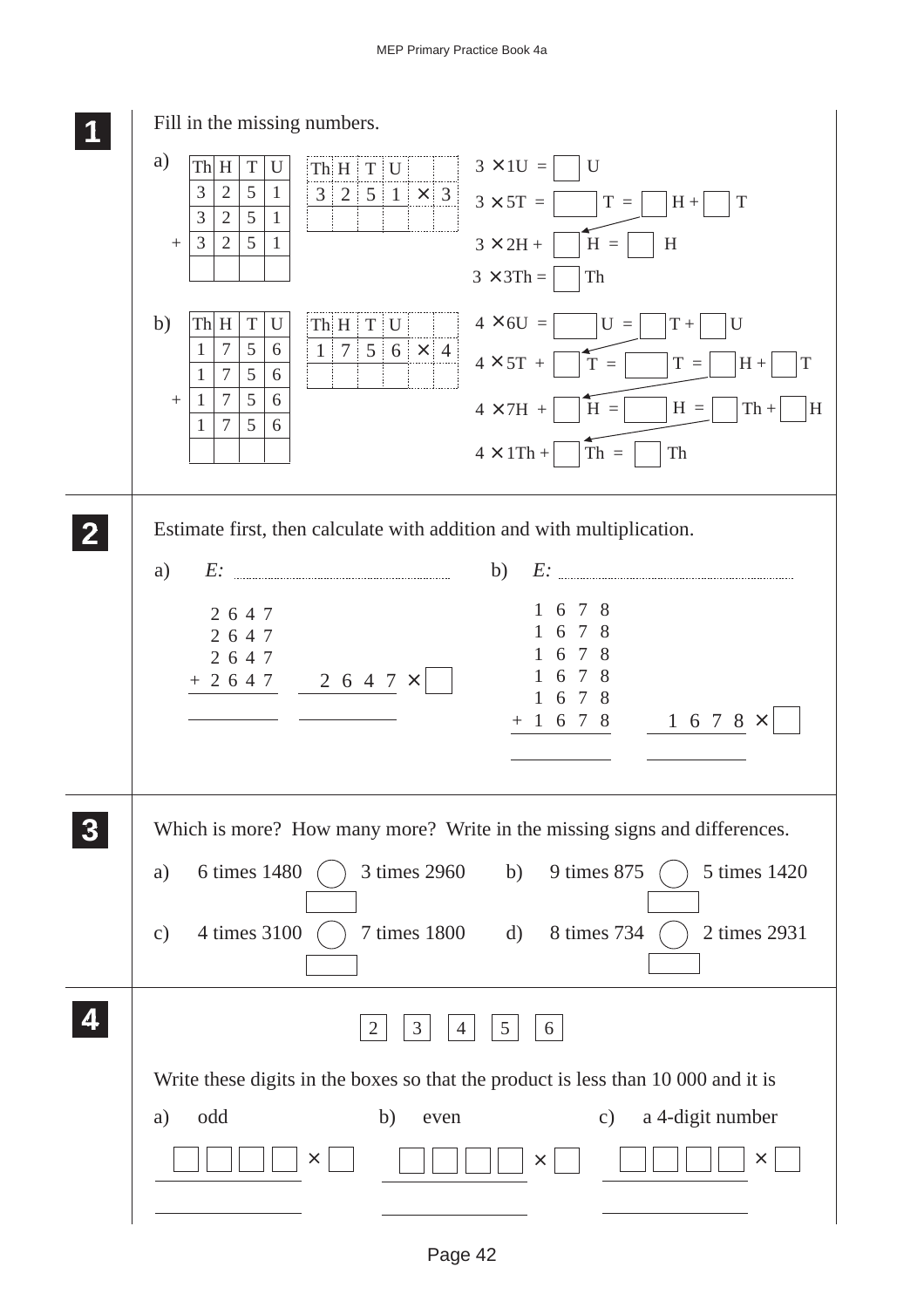| Fill in the missing numbers.                                                                                                                                              |
|---------------------------------------------------------------------------------------------------------------------------------------------------------------------------|
| a)<br>$3 \times 10 =$<br>ThH<br>$ThH$ $T$ $U$<br>$\vert$ U<br>$\mathbf T$<br>U                                                                                            |
| 3<br>5<br>$\overline{2}$<br>$\mathbf{1}$<br>$3$ 2 5 1 × 3 3 $3 \times 5T$ =<br>$T =$<br>$H +$<br>T<br>$\overline{3}$<br>$\overline{2}$<br>5<br>$\mathbf{1}$               |
| $\mathfrak{Z}$<br>$\overline{2}$<br>$H =$<br>5<br>$3\times2\mathrm{H}$ +<br>$\mathbf{1}$<br>H<br>$+$                                                                      |
| $3 \times 3Th =$<br>Th                                                                                                                                                    |
| b)<br>$4 \times 6U =$<br>ThH<br>$\mathbf T$<br>U<br>$ThH$ $T$ $U$<br>$U =$<br>$\mathbf U$<br>$T +$                                                                        |
| $\overline{7}$<br>5<br>$1   7   5   6   \times   4  $<br>$\mathbf{1}$<br>6<br>$4 \times 5T +$<br>$T =$<br>$T =$<br>$H +$<br>T<br>5<br>$\overline{7}$<br>$\mathbf{1}$<br>6 |
| $\overline{7}$<br>5<br>6<br>$\mathbf{1}$<br>$\boldsymbol{+}$<br>$4\times7\mathrm{H}$ +<br>$H =$<br>$H =$<br>$Th +$<br>H                                                   |
| $\tau$<br>5<br>6<br>1<br>$4 \times 1Th +$<br>Th<br>$Th =$                                                                                                                 |
|                                                                                                                                                                           |
| Estimate first, then calculate with addition and with multiplication.                                                                                                     |
| b)<br>a)                                                                                                                                                                  |
| 8<br>7<br>6                                                                                                                                                               |
| 2647<br>8<br>7<br>2647                                                                                                                                                    |
| 8<br>7<br>6<br>2647<br>8<br>7<br>6<br>$+ 2 6 4 7$<br>$2647\times$                                                                                                         |
| 7<br>-8<br>6<br>1 6 7 8                                                                                                                                                   |
| 1 6 7 8 $\times$                                                                                                                                                          |
|                                                                                                                                                                           |
| Which is more? How many more? Write in the missing signs and differences.                                                                                                 |
| 6 times 1480<br>3 times 2960<br>9 times 875<br>5 times 1420<br>b)<br>a)                                                                                                   |
|                                                                                                                                                                           |
| 4 times 3100<br>7 times 1800<br>8 times 734<br>2 times 2931<br>d)<br>$\mathbf{c})$                                                                                        |
|                                                                                                                                                                           |
| $5\overline{)}$<br>3<br>4<br>6<br>2                                                                                                                                       |
|                                                                                                                                                                           |
| Write these digits in the boxes so that the product is less than 10 000 and it is                                                                                         |
| odd<br>a 4-digit number<br>a)<br>b)<br>$\mathbf{c})$<br>even                                                                                                              |
| $\times$<br>X<br>$\times$                                                                                                                                                 |
|                                                                                                                                                                           |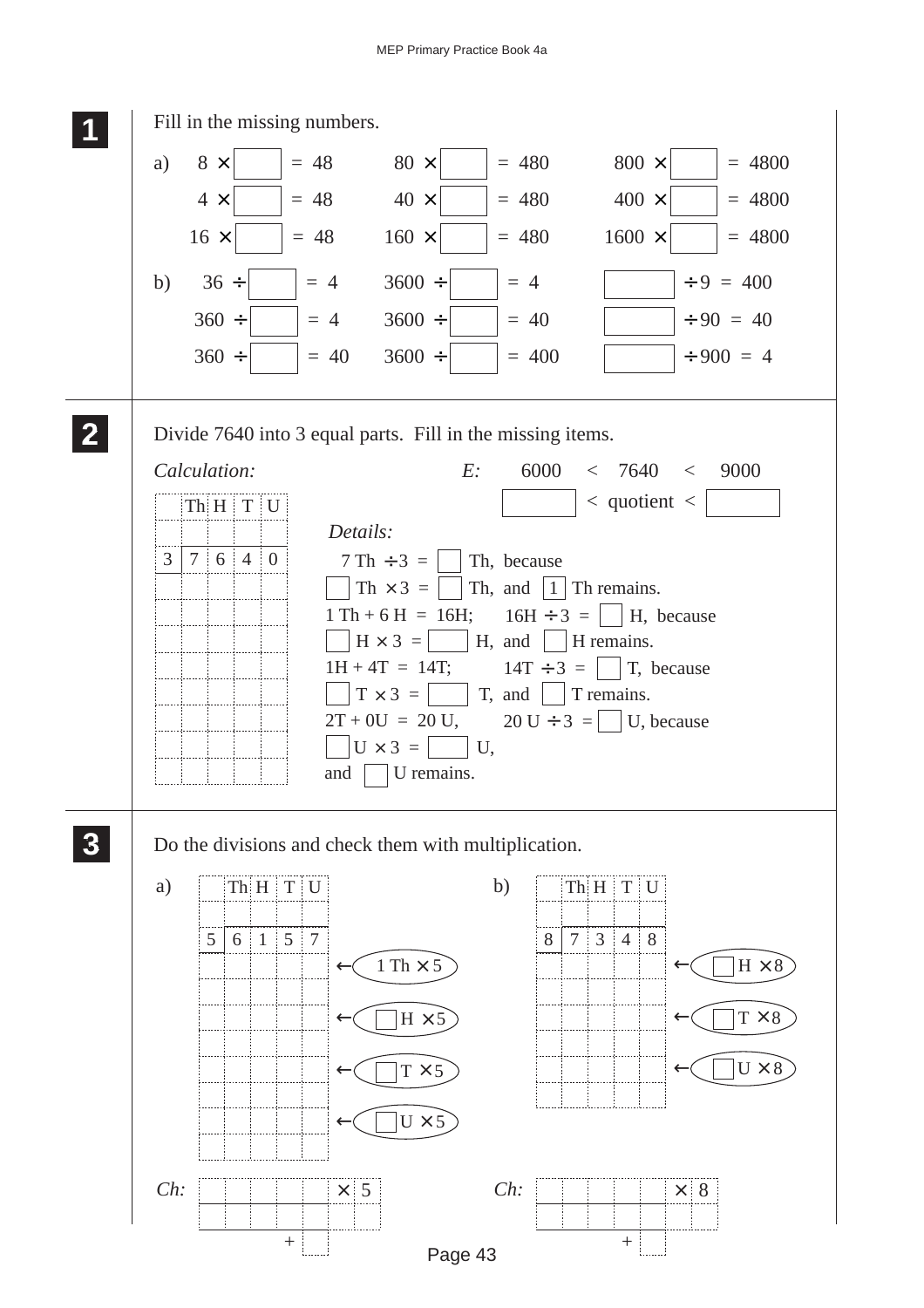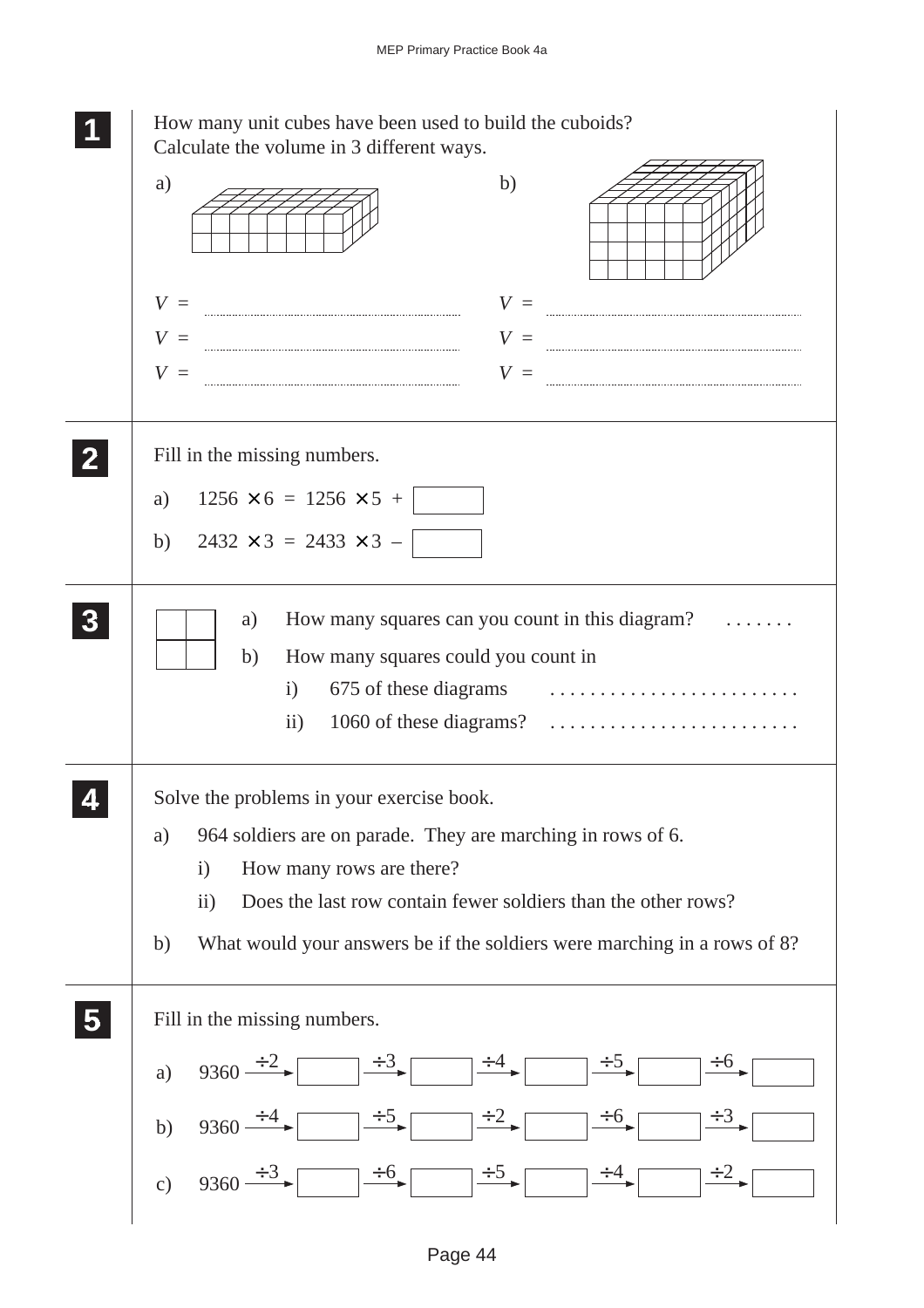|                         | How many unit cubes have been used to build the cuboids?<br>Calculate the volume in 3 different ways.                                                                                                |
|-------------------------|------------------------------------------------------------------------------------------------------------------------------------------------------------------------------------------------------|
|                         | b)<br>a)                                                                                                                                                                                             |
|                         | $V =$<br>$V =$                                                                                                                                                                                       |
|                         | $V =$<br>$V =$                                                                                                                                                                                       |
|                         | $V =$<br>$V =$                                                                                                                                                                                       |
|                         | Fill in the missing numbers.                                                                                                                                                                         |
|                         | $1256 \times 6 = 1256 \times 5 +$<br>a)                                                                                                                                                              |
|                         | $2432 \times 3 = 2433 \times 3 -$<br>b)                                                                                                                                                              |
|                         | How many squares can you count in this diagram?<br>a)<br>How many squares could you count in<br>b)<br>i) $675$ of these diagrams $\ldots \ldots \ldots \ldots \ldots \ldots \ldots$<br>$\mathbf{ii}$ |
|                         | Solve the problems in your exercise book.                                                                                                                                                            |
|                         | 964 soldiers are on parade. They are marching in rows of 6.<br>a)                                                                                                                                    |
|                         | How many rows are there?<br>$\mathbf{i}$<br>Does the last row contain fewer soldiers than the other rows?<br>$\ddot{i}$                                                                              |
|                         | What would your answers be if the soldiers were marching in a rows of 8?<br>b)                                                                                                                       |
| $\overline{\mathbf{5}}$ | Fill in the missing numbers.                                                                                                                                                                         |
|                         | $9360 \div 2$ $\qquad \qquad \div 3$ $\qquad \qquad \div 4$<br>$\div 6$<br>a)                                                                                                                        |
|                         | $\div$ 5<br>$\div 6$<br>$\div^2$<br>$9360 \div 4$<br>b)                                                                                                                                              |
|                         | $\div 6$ $\div 5$<br>c) $9360 \div 3$                                                                                                                                                                |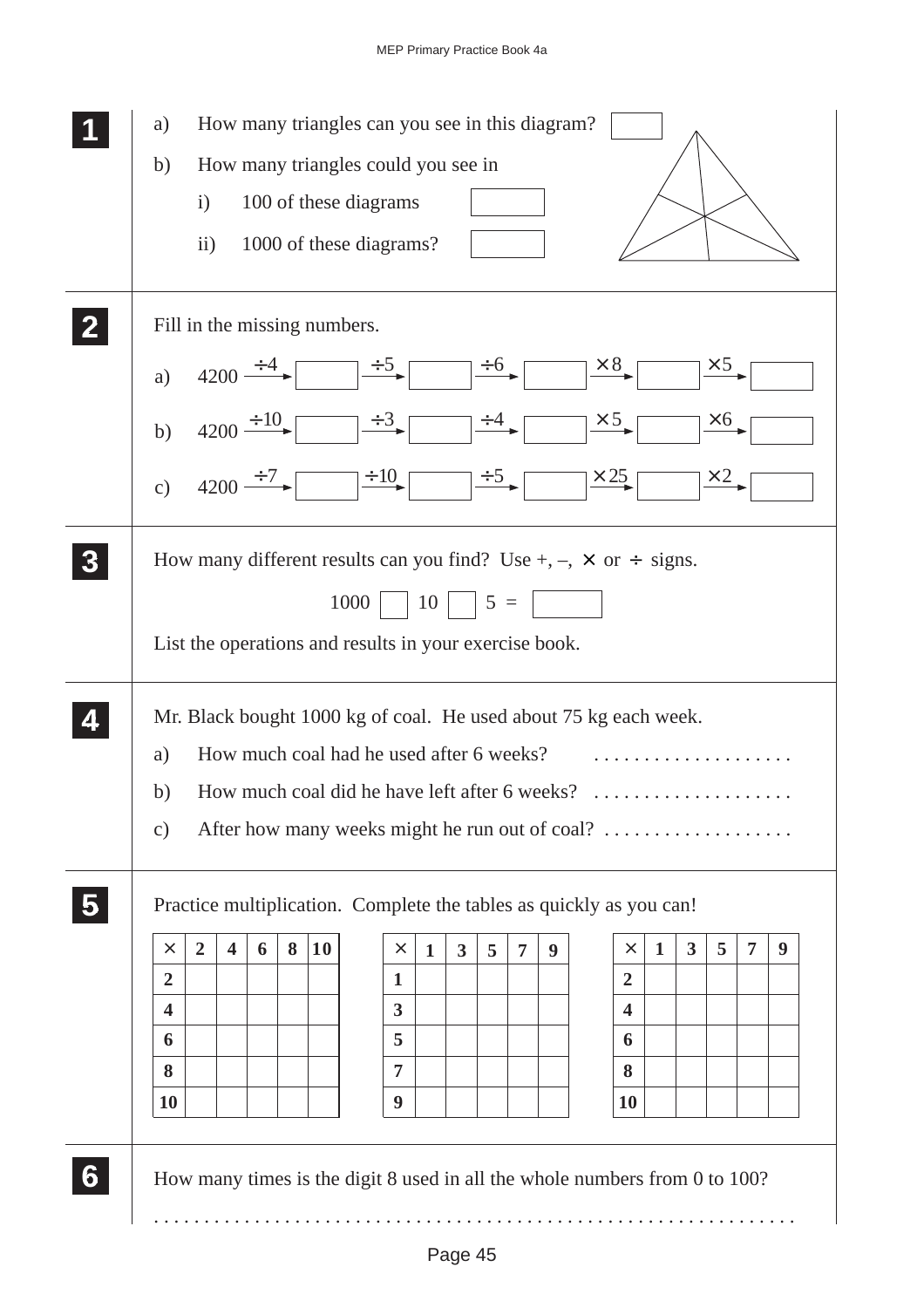| a)             |                |                         |               |   |           | How many triangles can you see in this diagram?        |                                    |              |                         |                       |                |   |                                                                                 |             |              |              |                |   |
|----------------|----------------|-------------------------|---------------|---|-----------|--------------------------------------------------------|------------------------------------|--------------|-------------------------|-----------------------|----------------|---|---------------------------------------------------------------------------------|-------------|--------------|--------------|----------------|---|
| b)             |                |                         |               |   |           | How many triangles could you see in                    |                                    |              |                         |                       |                |   |                                                                                 |             |              |              |                |   |
|                | $\mathbf{i}$   |                         |               |   |           | 100 of these diagrams                                  |                                    |              |                         |                       |                |   |                                                                                 |             |              |              |                |   |
|                | ii)            |                         |               |   |           | 1000 of these diagrams?                                |                                    |              |                         |                       |                |   |                                                                                 |             |              |              |                |   |
|                |                |                         |               |   |           |                                                        |                                    |              |                         |                       |                |   |                                                                                 |             |              |              |                |   |
|                |                |                         |               |   |           | Fill in the missing numbers.                           |                                    |              |                         |                       |                |   |                                                                                 |             |              |              |                |   |
| a)             |                |                         | $4200 \div 4$ |   |           |                                                        | $\div 5$ $\rightarrow 6$           |              |                         |                       |                |   | $\times 8$                                                                      |             |              | $\times$ 5   |                |   |
| b)             |                |                         | $4200 \pm 10$ |   |           |                                                        | $\div 3$                           |              |                         | $\frac{\div 4}{\div}$ |                |   | $\times$ 5                                                                      |             |              | $\times 6$   |                |   |
| c)             |                |                         | $4200 \div 7$ |   |           |                                                        | $\div 10$                          |              |                         | $\frac{+5}{ }$        |                |   | $\times 25$                                                                     |             |              | $\times 2$ . |                |   |
|                |                |                         |               |   |           |                                                        |                                    |              |                         |                       |                |   |                                                                                 |             |              |              |                |   |
|                |                |                         |               |   |           |                                                        |                                    |              |                         |                       |                |   | How many different results can you find? Use +, $-$ , $\times$ or $\div$ signs. |             |              |              |                |   |
|                |                |                         |               |   |           | $1000$   $10$   $5 =$                                  |                                    |              |                         |                       |                |   |                                                                                 |             |              |              |                |   |
|                |                |                         |               |   |           |                                                        |                                    |              |                         |                       |                |   |                                                                                 |             |              |              |                |   |
|                |                |                         |               |   |           | List the operations and results in your exercise book. |                                    |              |                         |                       |                |   |                                                                                 |             |              |              |                |   |
|                |                |                         |               |   |           |                                                        |                                    |              |                         |                       |                |   |                                                                                 |             |              |              |                |   |
|                |                |                         |               |   |           |                                                        |                                    |              |                         |                       |                |   |                                                                                 |             |              |              |                |   |
|                |                |                         |               |   |           |                                                        |                                    |              |                         |                       |                |   | Mr. Black bought 1000 kg of coal. He used about 75 kg each week.                |             |              |              |                |   |
| a)             |                |                         |               |   |           | How much coal had he used after 6 weeks?               |                                    |              |                         |                       |                |   |                                                                                 |             |              |              |                |   |
| b)             |                |                         |               |   |           | How much coal did he have left after 6 weeks?          |                                    |              |                         |                       |                |   | .                                                                               |             |              |              |                |   |
| $\mathbf{c})$  |                |                         |               |   |           |                                                        |                                    |              |                         |                       |                |   | After how many weeks might he run out of coal?                                  |             |              |              |                |   |
|                |                |                         |               |   |           |                                                        |                                    |              |                         |                       |                |   |                                                                                 |             |              |              |                |   |
|                |                |                         |               |   |           |                                                        |                                    |              |                         |                       |                |   | Practice multiplication. Complete the tables as quickly as you can!             |             |              |              |                |   |
| $\times$       | $\overline{2}$ | $\overline{\mathbf{4}}$ | 6             | 8 | <b>10</b> |                                                        | $\times$                           | $\mathbf{1}$ | $\overline{\mathbf{3}}$ | 5                     | $\overline{7}$ | 9 | $\times$                                                                        | $\mathbf 1$ | $\mathbf{3}$ | 5            | $\overline{7}$ | 9 |
| $\overline{2}$ |                |                         |               |   |           |                                                        | 1                                  |              |                         |                       |                |   | $\overline{2}$                                                                  |             |              |              |                |   |
| 4              |                |                         |               |   |           |                                                        | $\overline{\mathbf{3}}$            |              |                         |                       |                |   | 4                                                                               |             |              |              |                |   |
| 6              |                |                         |               |   |           |                                                        | 5                                  |              |                         |                       |                |   | 6                                                                               |             |              |              |                |   |
| 8<br><b>10</b> |                |                         |               |   |           |                                                        | $\overline{7}$<br>$\boldsymbol{9}$ |              |                         |                       |                |   | 8<br>10                                                                         |             |              |              |                |   |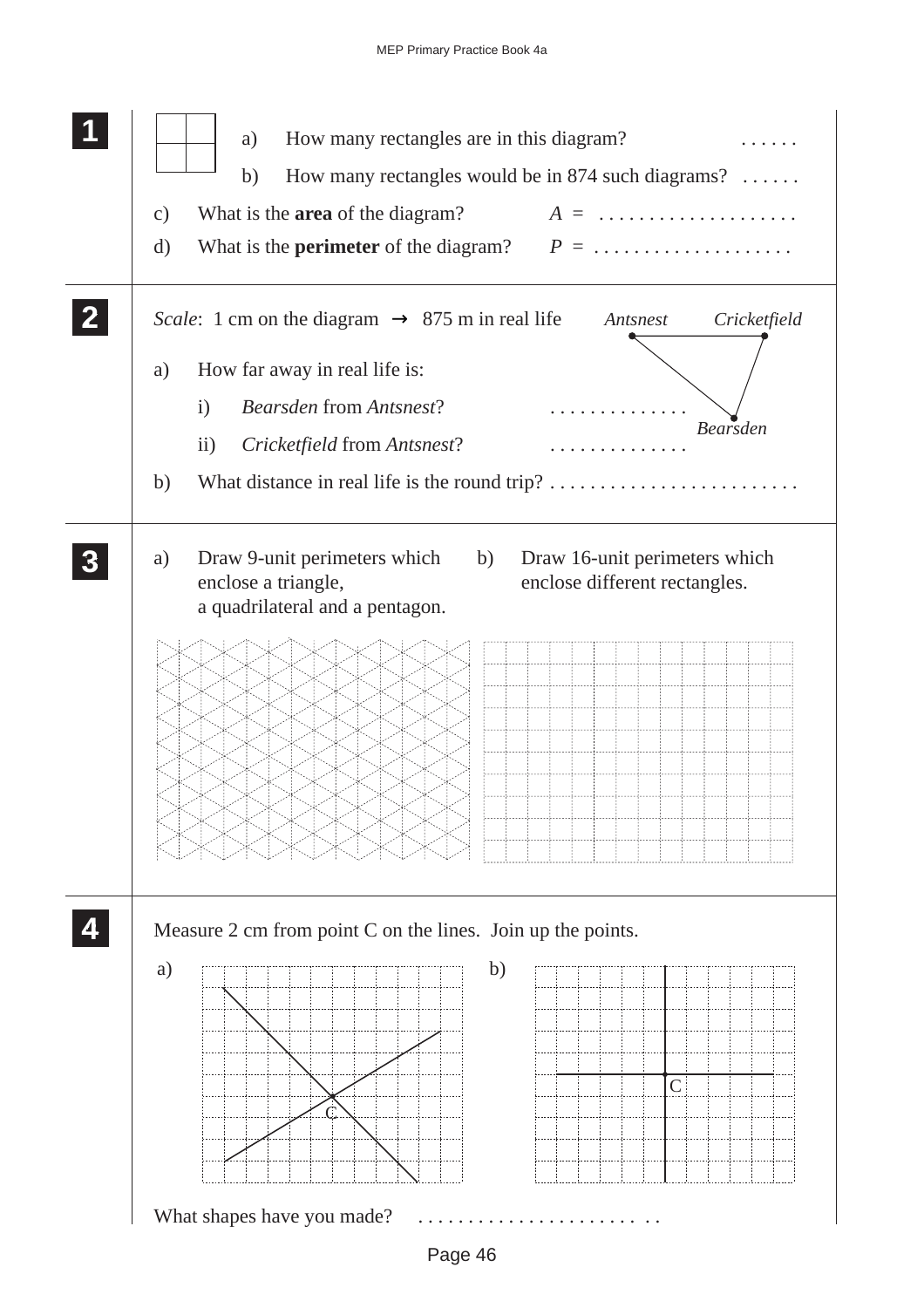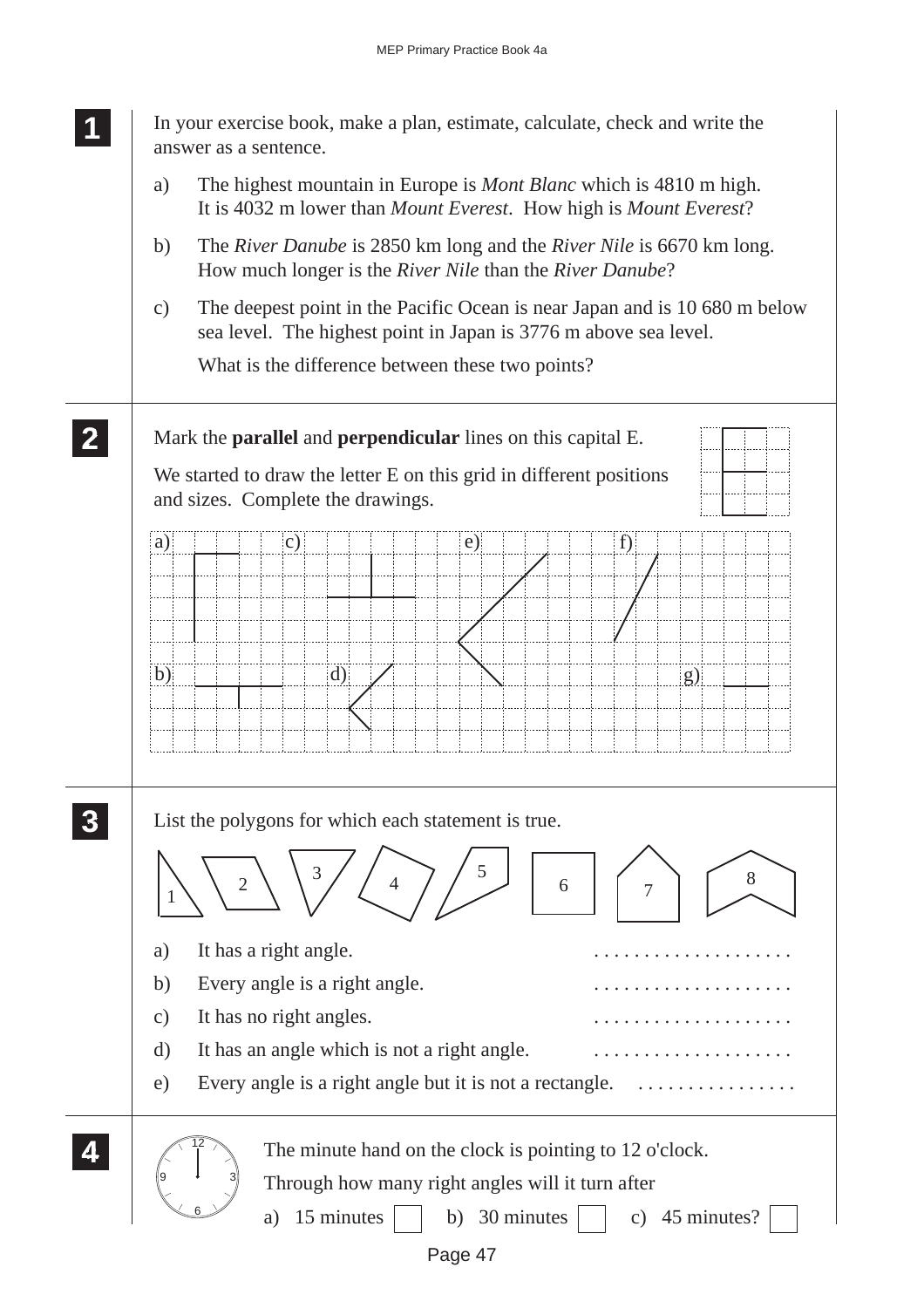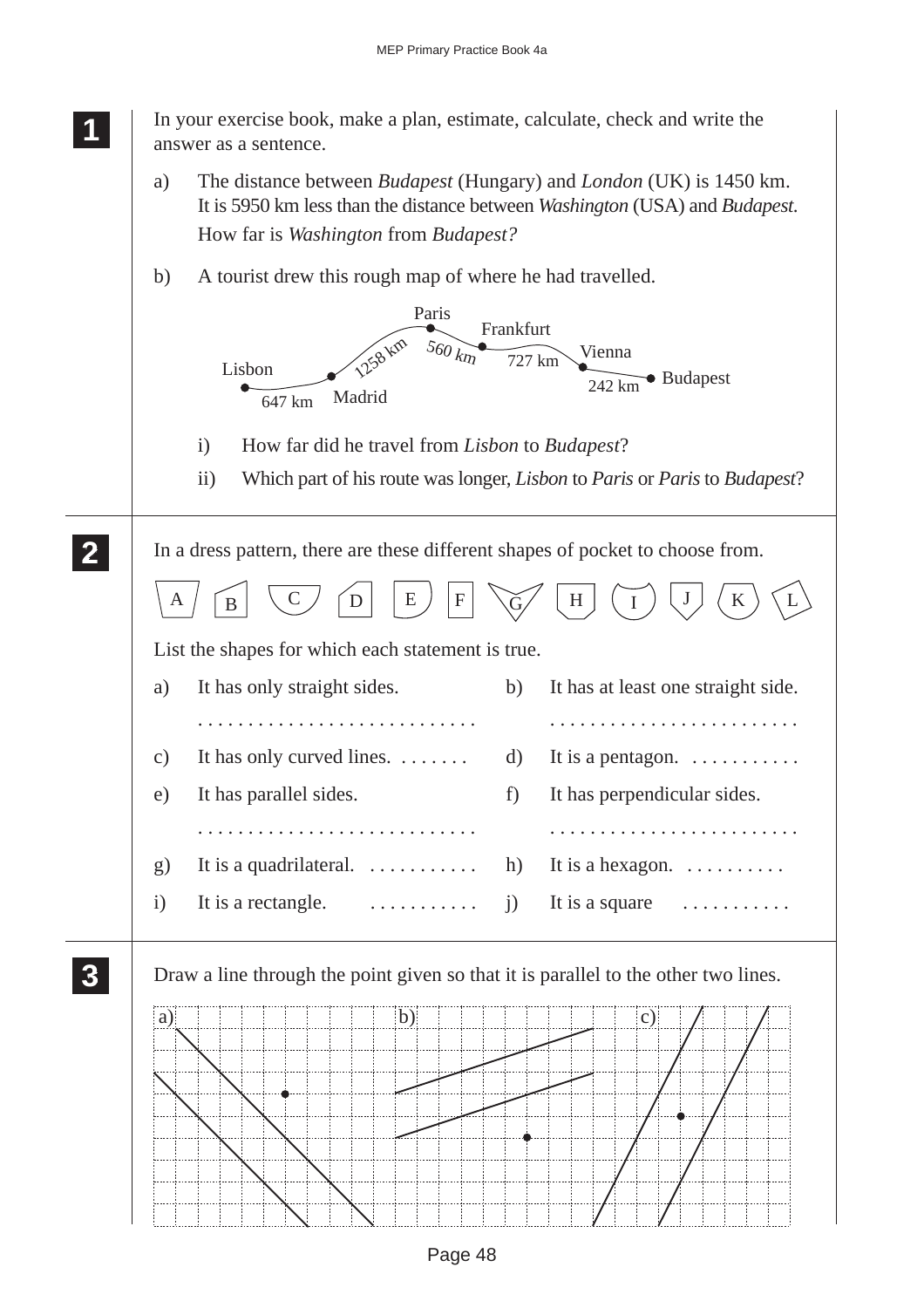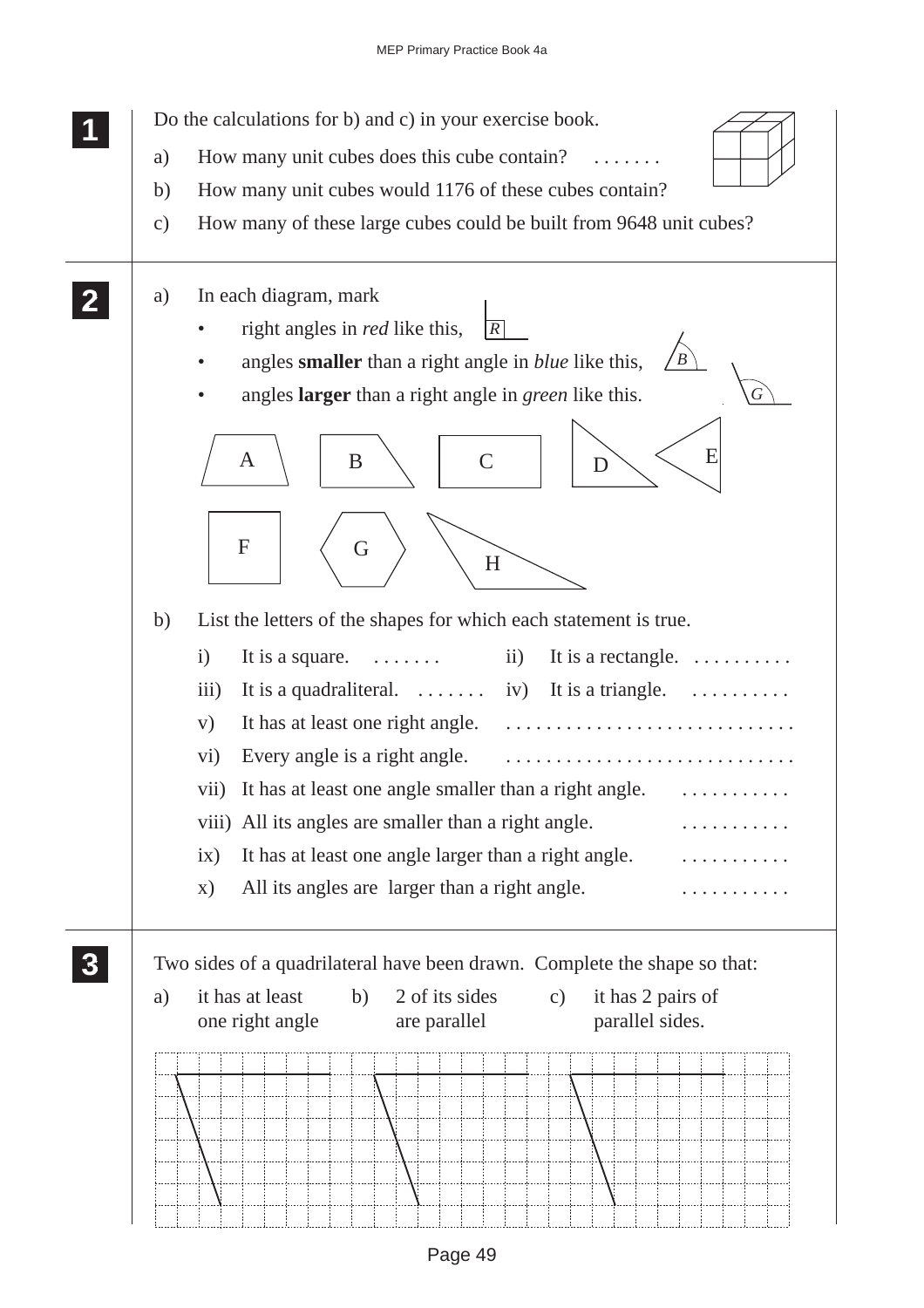